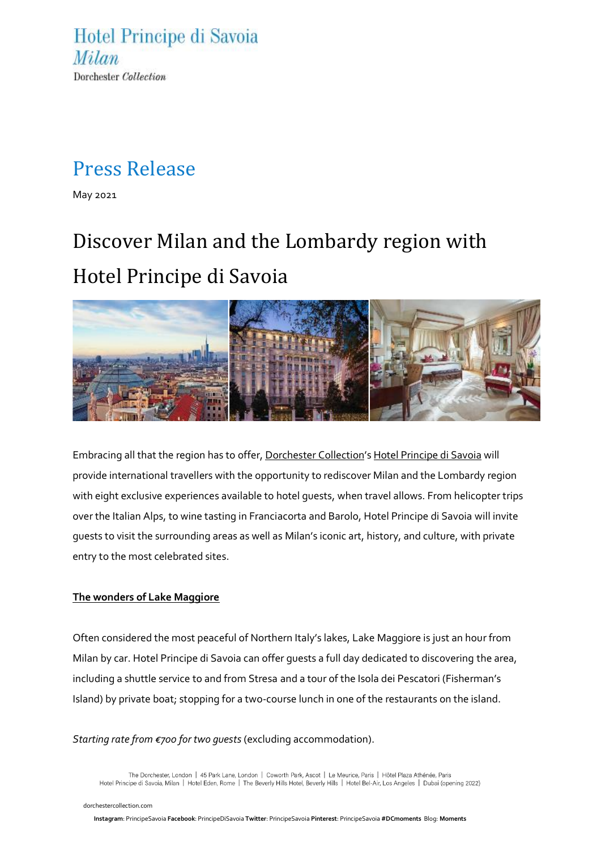Hotel Principe di Savoia Milan Dorchester Collection

### Press Release

May 2021

# Discover Milan and the Lombardy region with Hotel Principe di Savoia



Embracing all that the region has to offer, [Dorchester Collection](http://www.dorchestercollection.com/)'s Hotel [Principe di](https://www.dorchestercollection.com/en/milan/hotel-principe-di-savoia/) Savoia will provide international travellers with the opportunity to rediscover Milan and the Lombardy region with eight exclusive experiences available to hotel guests, when travel allows. From helicopter trips over the Italian Alps, to wine tasting in Franciacorta and Barolo, Hotel Principe di Savoia will invite guests to visit the surrounding areas as well as Milan's iconic art, history, and culture, with private entry to the most celebrated sites.

#### **The wonders of Lake Maggiore**

Often considered the most peaceful of Northern Italy's lakes, Lake Maggiore is just an hour from Milan by car. Hotel Principe di Savoia can offer guests a full day dedicated to discovering the area, including a shuttle service to and from Stresa and a tour of the Isola dei Pescatori (Fisherman's Island) by private boat; stopping for a two-course lunch in one of the restaurants on the island.

#### *Starting rate from €700 for two guests* (excluding accommodation).

The Dorchester, London | 45 Park Lane, London | Coworth Park, Ascot | Le Meurice, Paris | Hôtel Plaza Athénée, Paris Hotel Principe di Savoia, Milan | Hotel Eden, Rome | The Beverly Hills Hotel, Beverly Hills | Hotel Bel-Air, Los Angeles | Dubai (opening 2022)

 [dorchestercollection.com](https://www.instagram.com/principesavoia/)

**Instagram**: PrincipeSavoia **Facebook**: [PrincipeDiSavoia](https://www.facebook.com/principedisavoia) **Twitter**[: PrincipeSavoia](https://twitter.com/PrincipeSavoia) **Pinterest**[: PrincipeSavoia](https://www.pinterest.co.uk/principesavoia/) **#DCmoments** Blog: **[Moments](https://www.dorchestercollection.com/en/moments/)**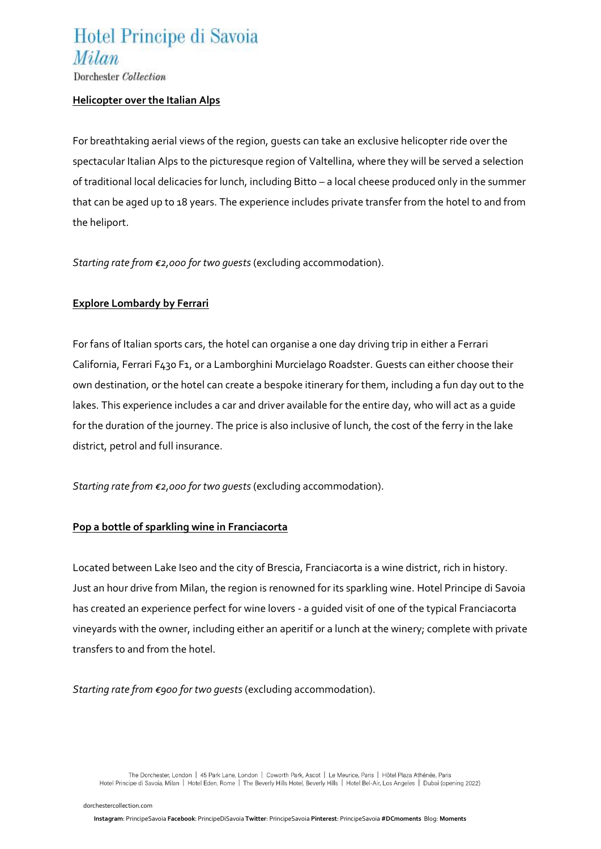### Hotel Principe di Savoia Milan

Dorchester Collection

#### **Helicopter over the Italian Alps**

For breathtaking aerial views of the region, guests can take an exclusive helicopter ride over the spectacular Italian Alps to the picturesque region of Valtellina, where they will be served a selection of traditional local delicacies for lunch, including Bitto – a local cheese produced only in the summer that can be aged up to 18 years. The experience includes private transfer from the hotel to and from the heliport.

*Starting rate from €2,000 for two guests* (excluding accommodation).

#### **Explore Lombardy by Ferrari**

For fans of Italian sports cars, the hotel can organise a one day driving trip in either a Ferrari California, Ferrari F430 F1, or a Lamborghini Murcielago Roadster. Guests can either choose their own destination, or the hotel can create a bespoke itinerary for them, including a fun day out to the lakes. This experience includes a car and driver available for the entire day, who will act as a guide for the duration of the journey. The price is also inclusive of lunch, the cost of the ferry in the lake district, petrol and full insurance.

*Starting rate from €2,000 for two guests* (excluding accommodation).

#### **Pop a bottle of sparkling wine in Franciacorta**

Located between Lake Iseo and the city of Brescia, Franciacorta is a wine district, rich in history. Just an hour drive from Milan, the region is renowned for its sparkling wine. Hotel Principe di Savoia has created an experience perfect for wine lovers - a guided visit of one of the typical Franciacorta vineyards with the owner, including either an aperitif or a lunch at the winery; complete with private transfers to and from the hotel.

*Starting rate from €900 for two guests* (excluding accommodation).

 [dorchestercollection.com](https://www.instagram.com/principesavoia/)

The Dorchester, London | 45 Park Lane, London | Coworth Park, Ascot | Le Meurice, Paris | Hôtel Plaza Athénée, Paris Hotel Principe di Savoia, Milan | Hotel Eden, Rome | The Beverly Hills Hotel, Beverly Hills | Hotel Bel-Air, Los Angeles | Dubai (opening 2022)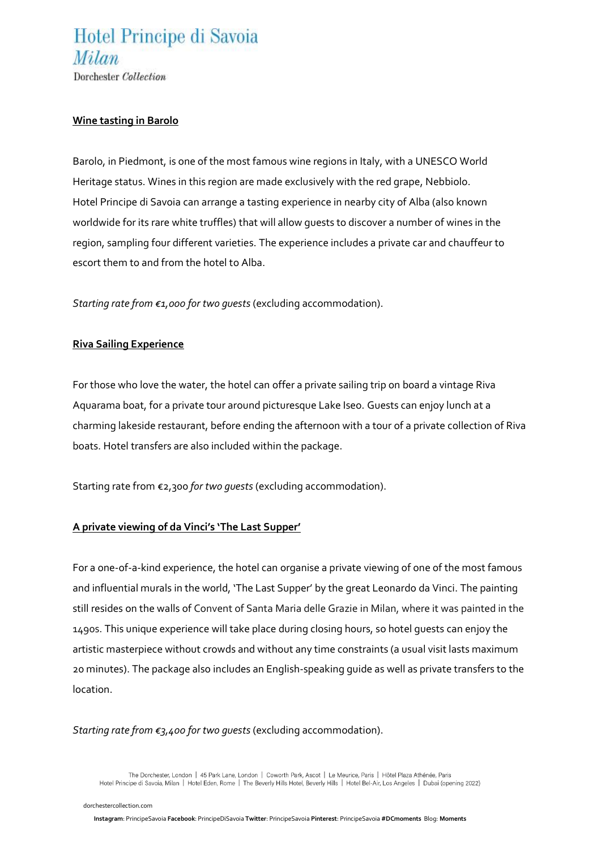### Hotel Principe di Savoia Milan

Dorchester Collection

#### **Wine tasting in Barolo**

Barolo, in Piedmont, is one of the most famous wine regions in Italy, with a UNESCO World Heritage status. Wines in this region are made exclusively with the red grape, Nebbiolo. Hotel Principe di Savoia can arrange a tasting experience in nearby city of Alba (also known worldwide for its rare white truffles) that will allow guests to discover a number of wines in the region, sampling four different varieties. The experience includes a private car and chauffeur to escort them to and from the hotel to Alba.

*Starting rate from €1,000 for two guests* (excluding accommodation).

#### **Riva Sailing Experience**

For those who love the water, the hotel can offer a private sailing trip on board a vintage Riva Aquarama boat, for a private tour around picturesque Lake Iseo. Guests can enjoy lunch at a charming lakeside restaurant, before ending the afternoon with a tour of a private collection of Riva boats. Hotel transfers are also included within the package.

Starting rate from €2,300 *for two guests* (excluding accommodation).

#### **A private viewing of da Vinci's 'The Last Supper'**

For a one-of-a-kind experience, the hotel can organise a private viewing of one of the most famous and influential murals in the world, 'The Last Supper' by the great Leonardo da Vinci. The painting still resides on the walls of Convent of Santa Maria delle Grazie in Milan, where it was painted in the 1490s. This unique experience will take place during closing hours, so hotel quests can enjoy the artistic masterpiece without crowds and without any time constraints (a usual visit lasts maximum 20 minutes). The package also includes an English-speaking guide as well as private transfers to the location.

#### *Starting rate from €3,400 for two guests* (excluding accommodation).

The Dorchester, London | 45 Park Lane, London | Coworth Park, Ascot | Le Meurice, Paris | Hôtel Plaza Athénée, Paris Hotel Principe di Savoia, Milan | Hotel Eden, Rome | The Beverly Hills Hotel, Beverly Hills | Hotel Bel-Air, Los Angeles | Dubai (opening 2022)

 [dorchestercollection.com](https://www.instagram.com/principesavoia/)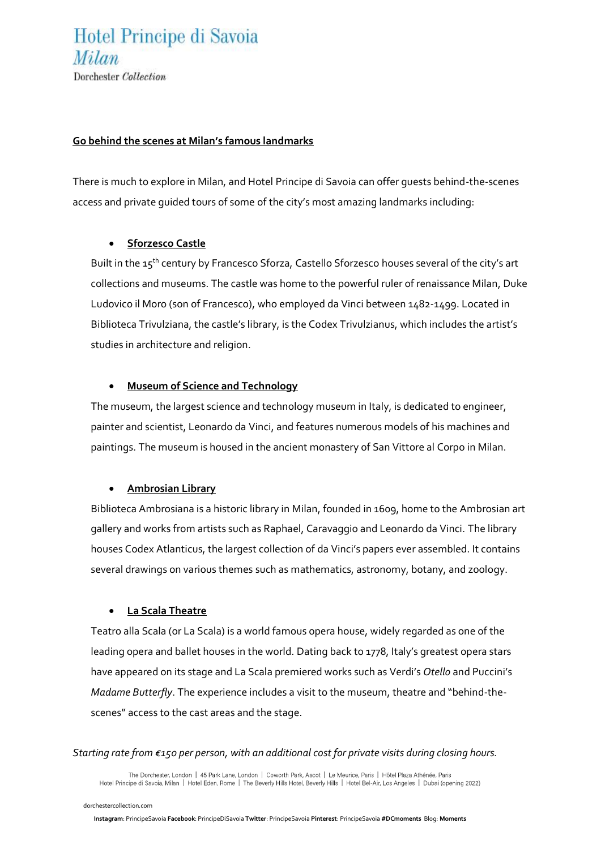### Hotel Principe di Savoia *Milan* Dorchester Collection

#### **Go behind the scenes at Milan's famous landmarks**

There is much to explore in Milan, and Hotel Principe di Savoia can offer guests behind-the-scenes access and private guided tours of some of the city's most amazing landmarks including:

#### • **Sforzesco Castle**

Built in the 15<sup>th</sup> century by Francesco Sforza, Castello Sforzesco houses several of the city's art collections and museums. The castle was home to the powerful ruler of renaissance Milan, Duke Ludovico il Moro (son of Francesco), who employed da Vinci between 1482-1499. Located in Biblioteca Trivulziana, the castle's library, is the Codex Trivulzianus, which includes the artist's studies in architecture and religion.

#### • **Museum of Science and Technology**

The museum, the largest science and technology museum in Italy, is dedicated to engineer, painter and scientist, Leonardo da Vinci, and features numerous models of his machines and paintings. The museum is housed in the ancient monastery of San Vittore al Corpo in Milan.

#### • **Ambrosian Library**

Biblioteca Ambrosiana is a historic library in Milan, founded in 1609, home to the Ambrosian art gallery and works from artists such as Raphael, Caravaggio and Leonardo da Vinci. The library houses Codex Atlanticus, the largest collection of da Vinci's papers ever assembled. It contains several drawings on various themes such as mathematics, astronomy, botany, and zoology.

#### • **La Scala Theatre**

Teatro alla Scala (or La Scala) is a world famous opera house, widely regarded as one of the leading opera and ballet houses in the world. Dating back to 1778, Italy's greatest opera stars have appeared on its stage and La Scala premiered works such as Verdi's *Otello* and Puccini's *Madame Butterfly*. The experience includes a visit to the museum, theatre and "behind-thescenes" access to the cast areas and the stage.

#### *Starting rate from €150 per person, with an additional cost for private visits during closing hours.*

The Dorchester, London | 45 Park Lane, London | Coworth Park, Ascot | Le Meurice, Paris | Hôtel Plaza Athénée, Paris Hotel Principe di Savoia, Milan | Hotel Eden, Rome | The Beverly Hills Hotel, Beverly Hills | Hotel Bel-Air, Los Angeles | Dubai (opening 2022)

 [dorchestercollection.com](https://www.instagram.com/principesavoia/)